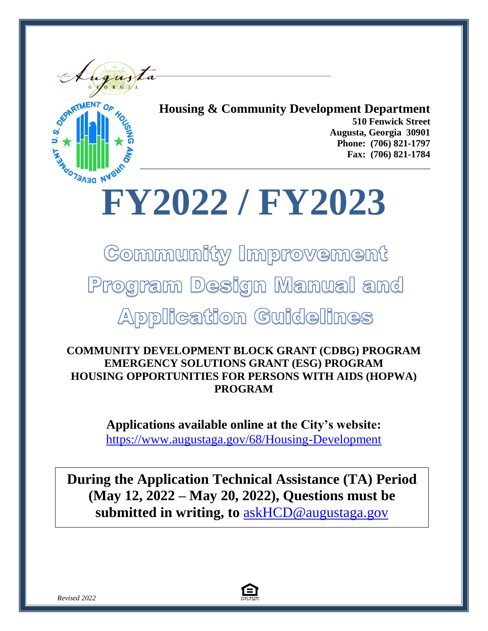



**Housing & Community Development Department 510 Fenwick Street Augusta, Georgia 30901 Phone: (706) 821-1797 Fax: (706) 821-1784**

# **FY2022 / FY2023**

Community Improvement

Program Design Manual and

**Application Guidelines** 

**COMMUNITY DEVELOPMENT BLOCK GRANT (CDBG) PROGRAM EMERGENCY SOLUTIONS GRANT (ESG) PROGRAM HOUSING OPPORTUNITIES FOR PERSONS WITH AIDS (HOPWA) PROGRAM**

> **Applications available online at the City's website:** <https://www.augustaga.gov/68/Housing-Development>

**During the Application Technical Assistance (TA) Period (May 12, 2022 – May 20, 2022), Questions must be submitted in writing, to** [askHCD@augustaga.gov](mailto:askHCD@augustaga.gov)

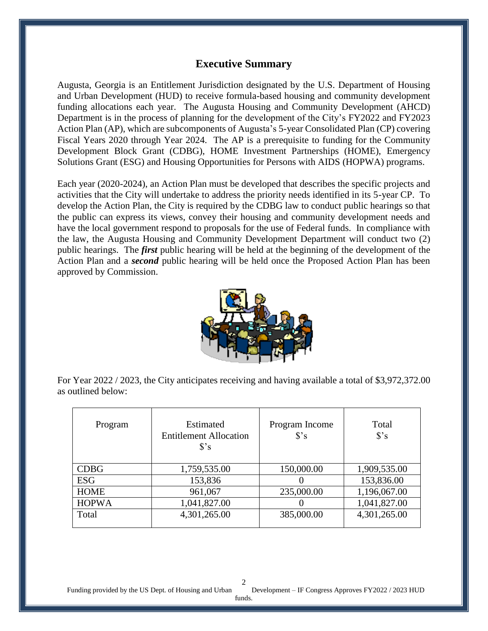### **Executive Summary**

Augusta, Georgia is an Entitlement Jurisdiction designated by the U.S. Department of Housing and Urban Development (HUD) to receive formula-based housing and community development funding allocations each year. The Augusta Housing and Community Development (AHCD) Department is in the process of planning for the development of the City's FY2022 and FY2023 Action Plan (AP), which are subcomponents of Augusta's 5-year Consolidated Plan (CP) covering Fiscal Years 2020 through Year 2024. The AP is a prerequisite to funding for the Community Development Block Grant (CDBG), HOME Investment Partnerships (HOME), Emergency Solutions Grant (ESG) and Housing Opportunities for Persons with AIDS (HOPWA) programs.

Each year (2020-2024), an Action Plan must be developed that describes the specific projects and activities that the City will undertake to address the priority needs identified in its 5-year CP. To develop the Action Plan, the City is required by the CDBG law to conduct public hearings so that the public can express its views, convey their housing and community development needs and have the local government respond to proposals for the use of Federal funds. In compliance with the law, the Augusta Housing and Community Development Department will conduct two (2) public hearings. The *first* public hearing will be held at the beginning of the development of the Action Plan and a *second* public hearing will be held once the Proposed Action Plan has been approved by Commission.



For Year 2022 / 2023, the City anticipates receiving and having available a total of \$3,972,372.00 as outlined below:

| Program      | Estimated<br><b>Entitlement Allocation</b><br>S's | Program Income<br>S's | Total<br>S's |
|--------------|---------------------------------------------------|-----------------------|--------------|
| <b>CDBG</b>  | 1,759,535.00                                      | 150,000.00            | 1,909,535.00 |
| <b>ESG</b>   | 153,836                                           |                       | 153,836.00   |
| <b>HOME</b>  | 961,067                                           | 235,000.00            | 1,196,067.00 |
| <b>HOPWA</b> | 1,041,827.00                                      |                       | 1,041,827.00 |
| Total        | 4,301,265.00                                      | 385,000.00            | 4,301,265.00 |

Funding provided by the US Dept. of Housing and Urban Development – IF Congress Approves FY2022 / 2023 HUD 2

funds.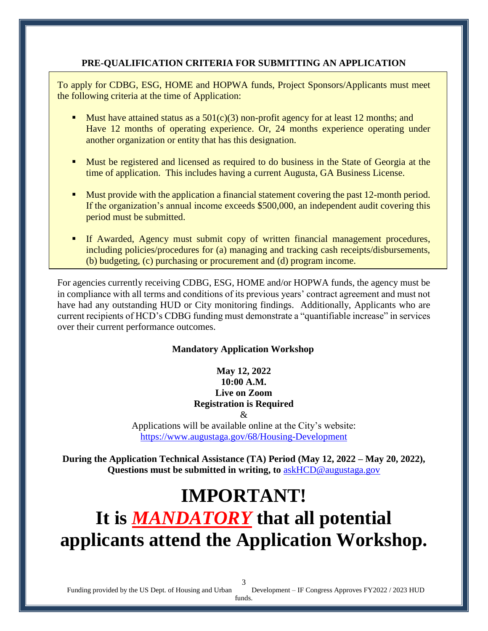### **PRE-QUALIFICATION CRITERIA FOR SUBMITTING AN APPLICATION**

To apply for CDBG, ESG, HOME and HOPWA funds, Project Sponsors/Applicants must meet the following criteria at the time of Application:

- Must have attained status as a  $501(c)(3)$  non-profit agency for at least 12 months; and Have 12 months of operating experience. Or, 24 months experience operating under another organization or entity that has this designation.
- **Must be registered and licensed as required to do business in the State of Georgia at the** time of application. This includes having a current Augusta, GA Business License.
- **Must provide with the application a financial statement covering the past 12-month period.** If the organization's annual income exceeds \$500,000, an independent audit covering this period must be submitted.
- If Awarded, Agency must submit copy of written financial management procedures, including policies/procedures for (a) managing and tracking cash receipts/disbursements, (b) budgeting, (c) purchasing or procurement and (d) program income.

For agencies currently receiving CDBG, ESG, HOME and/or HOPWA funds, the agency must be in compliance with all terms and conditions of its previous years' contract agreement and must not have had any outstanding HUD or City monitoring findings. Additionally, Applicants who are current recipients of HCD's CDBG funding must demonstrate a "quantifiable increase" in services over their current performance outcomes.

### **Mandatory Application Workshop**

### **May 12, 2022 10:00 A.M. Live on Zoom Registration is Required**

 $\mathcal{R}_{\mathcal{I}}$ 

Applications will be available online at the City's website: <https://www.augustaga.gov/68/Housing-Development>

**During the Application Technical Assistance (TA) Period (May 12, 2022 – May 20, 2022), Questions must be submitted in writing, to** [askHCD@augustaga.gov](mailto:askHCD@augustaga.gov)

## **IMPORTANT! It is** *MANDATORY* **that all potential applicants attend the Application Workshop.**

Funding provided by the US Dept. of Housing and Urban Development – IF Congress Approves FY2022 / 2023 HUD

funds. 3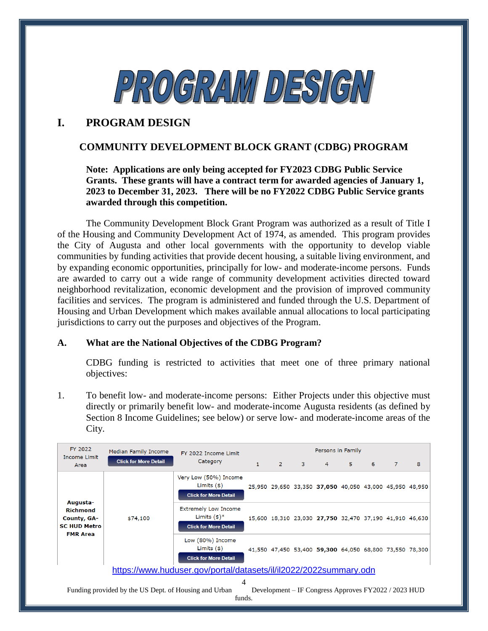

### **I. PROGRAM DESIGN**

### **COMMUNITY DEVELOPMENT BLOCK GRANT (CDBG) PROGRAM**

### **Note: Applications are only being accepted for FY2023 CDBG Public Service Grants. These grants will have a contract term for awarded agencies of January 1, 2023 to December 31, 2023. There will be no FY2022 CDBG Public Service grants awarded through this competition.**

The Community Development Block Grant Program was authorized as a result of Title I of the Housing and Community Development Act of 1974, as amended. This program provides the City of Augusta and other local governments with the opportunity to develop viable communities by funding activities that provide decent housing, a suitable living environment, and by expanding economic opportunities, principally for low- and moderate-income persons. Funds are awarded to carry out a wide range of community development activities directed toward neighborhood revitalization, economic development and the provision of improved community facilities and services. The program is administered and funded through the U.S. Department of Housing and Urban Development which makes available annual allocations to local participating jurisdictions to carry out the purposes and objectives of the Program.

### **A. What are the National Objectives of the CDBG Program?**

CDBG funding is restricted to activities that meet one of three primary national objectives:

1. To benefit low- and moderate-income persons: Either Projects under this objective must directly or primarily benefit low- and moderate-income Augusta residents (as defined by Section 8 Income Guidelines; see below) or serve low- and moderate-income areas of the City.

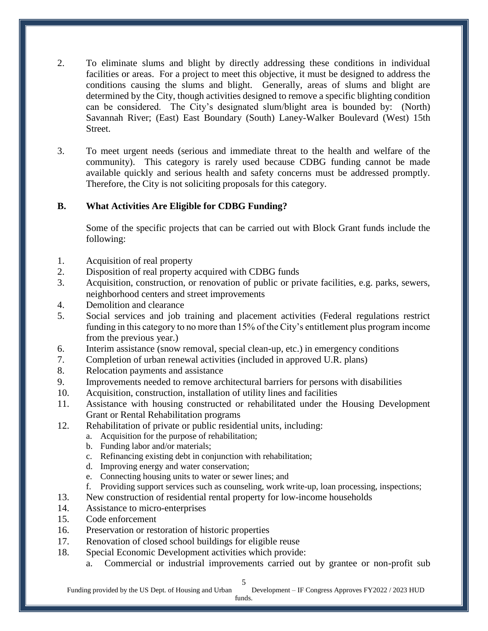- 2. To eliminate slums and blight by directly addressing these conditions in individual facilities or areas. For a project to meet this objective, it must be designed to address the conditions causing the slums and blight. Generally, areas of slums and blight are determined by the City, though activities designed to remove a specific blighting condition can be considered. The City's designated slum/blight area is bounded by: (North) Savannah River; (East) East Boundary (South) Laney-Walker Boulevard (West) 15th Street.
- 3. To meet urgent needs (serious and immediate threat to the health and welfare of the community). This category is rarely used because CDBG funding cannot be made available quickly and serious health and safety concerns must be addressed promptly. Therefore, the City is not soliciting proposals for this category.

### **B. What Activities Are Eligible for CDBG Funding?**

Some of the specific projects that can be carried out with Block Grant funds include the following:

- 1. Acquisition of real property
- 2. Disposition of real property acquired with CDBG funds
- 3. Acquisition, construction, or renovation of public or private facilities, e.g. parks, sewers, neighborhood centers and street improvements
- 4. Demolition and clearance
- 5. Social services and job training and placement activities (Federal regulations restrict funding in this category to no more than 15% of the City's entitlement plus program income from the previous year.)
- 6. Interim assistance (snow removal, special clean-up, etc.) in emergency conditions
- 7. Completion of urban renewal activities (included in approved U.R. plans)
- 8. Relocation payments and assistance
- 9. Improvements needed to remove architectural barriers for persons with disabilities
- 10. Acquisition, construction, installation of utility lines and facilities
- 11. Assistance with housing constructed or rehabilitated under the Housing Development Grant or Rental Rehabilitation programs
- 12. Rehabilitation of private or public residential units, including:
	- a. Acquisition for the purpose of rehabilitation;
	- b. Funding labor and/or materials;
	- c. Refinancing existing debt in conjunction with rehabilitation;
	- d. Improving energy and water conservation;
	- e. Connecting housing units to water or sewer lines; and
	- f. Providing support services such as counseling, work write-up, loan processing, inspections;
- 13. New construction of residential rental property for low-income households
- 14. Assistance to micro-enterprises
- 15. Code enforcement
- 16. Preservation or restoration of historic properties
- 17. Renovation of closed school buildings for eligible reuse
- 18. Special Economic Development activities which provide:
	- a. Commercial or industrial improvements carried out by grantee or non-profit sub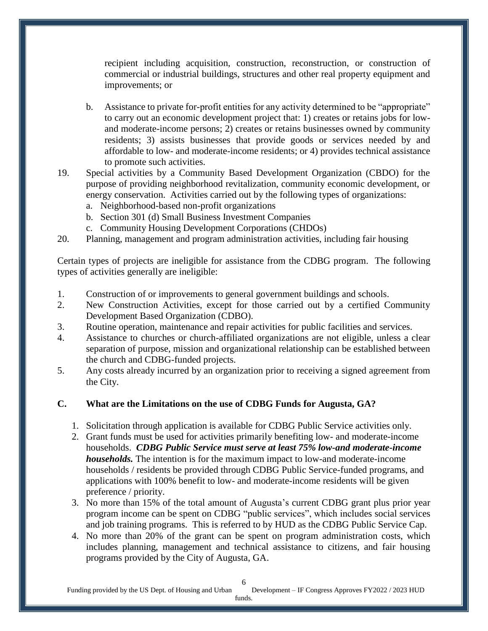recipient including acquisition, construction, reconstruction, or construction of commercial or industrial buildings, structures and other real property equipment and improvements; or

- b. Assistance to private for-profit entities for any activity determined to be "appropriate" to carry out an economic development project that: 1) creates or retains jobs for lowand moderate-income persons; 2) creates or retains businesses owned by community residents; 3) assists businesses that provide goods or services needed by and affordable to low- and moderate-income residents; or 4) provides technical assistance to promote such activities.
- 19. Special activities by a Community Based Development Organization (CBDO) for the purpose of providing neighborhood revitalization, community economic development, or energy conservation. Activities carried out by the following types of organizations:
	- a. Neighborhood-based non-profit organizations
	- b. Section 301 (d) Small Business Investment Companies
	- c. Community Housing Development Corporations (CHDOs)
- 20. Planning, management and program administration activities, including fair housing

Certain types of projects are ineligible for assistance from the CDBG program. The following types of activities generally are ineligible:

- 1. Construction of or improvements to general government buildings and schools.
- 2. New Construction Activities, except for those carried out by a certified Community Development Based Organization (CDBO).
- 3. Routine operation, maintenance and repair activities for public facilities and services.
- 4. Assistance to churches or church-affiliated organizations are not eligible, unless a clear separation of purpose, mission and organizational relationship can be established between the church and CDBG-funded projects.
- 5. Any costs already incurred by an organization prior to receiving a signed agreement from the City.

### **C. What are the Limitations on the use of CDBG Funds for Augusta, GA?**

- 1. Solicitation through application is available for CDBG Public Service activities only.
- 2. Grant funds must be used for activities primarily benefiting low- and moderate-income households. *CDBG Public Service must serve at least 75% low-and moderate-income households.* The intention is for the maximum impact to low-and moderate-income households / residents be provided through CDBG Public Service-funded programs, and applications with 100% benefit to low- and moderate-income residents will be given preference / priority.
- 3. No more than 15% of the total amount of Augusta's current CDBG grant plus prior year program income can be spent on CDBG "public services", which includes social services and job training programs. This is referred to by HUD as the CDBG Public Service Cap.
- 4. No more than 20% of the grant can be spent on program administration costs, which includes planning, management and technical assistance to citizens, and fair housing programs provided by the City of Augusta, GA.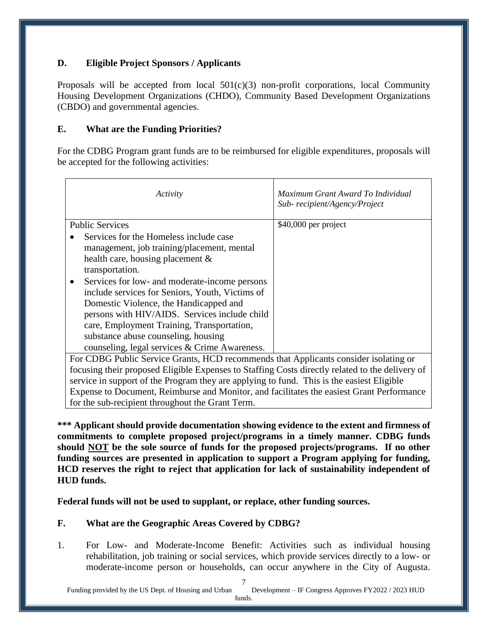### **D. Eligible Project Sponsors / Applicants**

Proposals will be accepted from local  $501(c)(3)$  non-profit corporations, local Community Housing Development Organizations (CHDO), Community Based Development Organizations (CBDO) and governmental agencies.

### **E. What are the Funding Priorities?**

For the CDBG Program grant funds are to be reimbursed for eligible expenditures, proposals will be accepted for the following activities:

| Activity                                                                                                                                                                                                                                                                                                                                                                                                                                                                            | Maximum Grant Award To Individual<br>Sub-recipient/Agency/Project |
|-------------------------------------------------------------------------------------------------------------------------------------------------------------------------------------------------------------------------------------------------------------------------------------------------------------------------------------------------------------------------------------------------------------------------------------------------------------------------------------|-------------------------------------------------------------------|
| <b>Public Services</b>                                                                                                                                                                                                                                                                                                                                                                                                                                                              | $$40,000$ per project                                             |
| Services for the Homeless include case<br>management, job training/placement, mental<br>health care, housing placement $\&$<br>transportation.<br>Services for low- and moderate-income persons<br>include services for Seniors, Youth, Victims of<br>Domestic Violence, the Handicapped and<br>persons with HIV/AIDS. Services include child<br>care, Employment Training, Transportation,<br>substance abuse counseling, housing<br>counseling, legal services & Crime Awareness. |                                                                   |
| $GDDQD1'$ $A$ $A$ $A$ $I$ $I$<br><b>D</b>                                                                                                                                                                                                                                                                                                                                                                                                                                           | .<br>$\cdots$<br>$1 \cdot 1 \cdot \cdot$                          |

For CDBG Public Service Grants, HCD recommends that Applicants consider isolating or focusing their proposed Eligible Expenses to Staffing Costs directly related to the delivery of service in support of the Program they are applying to fund. This is the easiest Eligible Expense to Document, Reimburse and Monitor, and facilitates the easiest Grant Performance for the sub-recipient throughout the Grant Term.

**\*\*\* Applicant should provide documentation showing evidence to the extent and firmness of commitments to complete proposed project/programs in a timely manner. CDBG funds should NOT be the sole source of funds for the proposed projects/programs. If no other funding sources are presented in application to support a Program applying for funding, HCD reserves the right to reject that application for lack of sustainability independent of HUD funds.** 

**Federal funds will not be used to supplant, or replace, other funding sources.** 

### **F. What are the Geographic Areas Covered by CDBG?**

1. For Low- and Moderate-Income Benefit: Activities such as individual housing rehabilitation, job training or social services, which provide services directly to a low- or moderate-income person or households, can occur anywhere in the City of Augusta.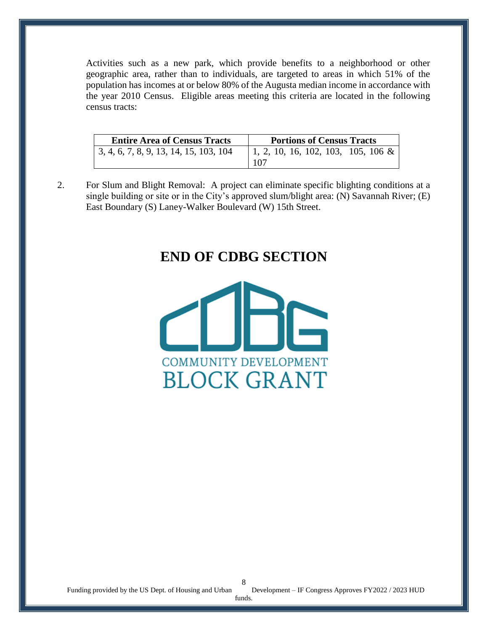Activities such as a new park, which provide benefits to a neighborhood or other geographic area, rather than to individuals, are targeted to areas in which 51% of the population has incomes at or below 80% of the Augusta median income in accordance with the year 2010 Census. Eligible areas meeting this criteria are located in the following census tracts:

| <b>Entire Area of Census Tracts</b>    | <b>Portions of Census Tracts</b>           |
|----------------------------------------|--------------------------------------------|
| 3, 4, 6, 7, 8, 9, 13, 14, 15, 103, 104 | $\vert$ 1, 2, 10, 16, 102, 103, 105, 106 & |
|                                        | 1107                                       |

2. For Slum and Blight Removal: A project can eliminate specific blighting conditions at a single building or site or in the City's approved slum/blight area: (N) Savannah River; (E) East Boundary (S) Laney-Walker Boulevard (W) 15th Street.

### **END OF CDBG SECTION**

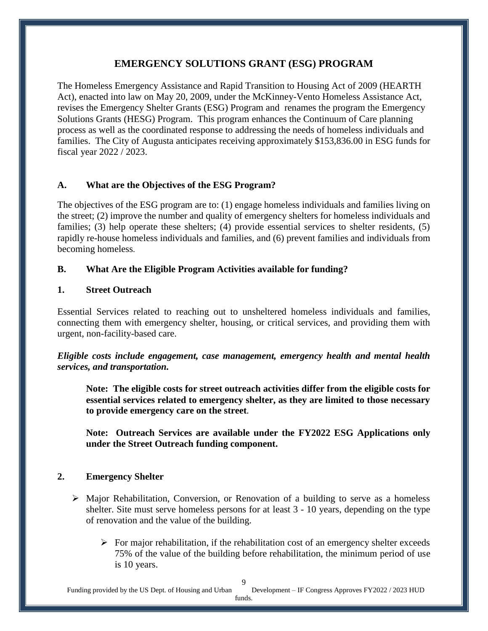### **EMERGENCY SOLUTIONS GRANT (ESG) PROGRAM**

The Homeless Emergency Assistance and Rapid Transition to Housing Act of 2009 (HEARTH Act), enacted into law on May 20, 2009, under the McKinney-Vento Homeless Assistance Act, revises the Emergency Shelter Grants (ESG) Program and renames the program the Emergency Solutions Grants (HESG) Program. This program enhances the Continuum of Care planning process as well as the coordinated response to addressing the needs of homeless individuals and families. The City of Augusta anticipates receiving approximately \$153,836.00 in ESG funds for fiscal year 2022 / 2023.

### **A. What are the Objectives of the ESG Program?**

The objectives of the ESG program are to: (1) engage homeless individuals and families living on the street; (2) improve the number and quality of emergency shelters for homeless individuals and families; (3) help operate these shelters; (4) provide essential services to shelter residents, (5) rapidly re-house homeless individuals and families, and (6) prevent families and individuals from becoming homeless.

### **B. What Are the Eligible Program Activities available for funding?**

### **1. Street Outreach**

Essential Services related to reaching out to unsheltered homeless individuals and families, connecting them with emergency shelter, housing, or critical services, and providing them with urgent, non-facility-based care.

*Eligible costs include engagement, case management, emergency health and mental health services, and transportation.*

**Note: The eligible costs for street outreach activities differ from the eligible costs for essential services related to emergency shelter, as they are limited to those necessary to provide emergency care on the street***.*

**Note: Outreach Services are available under the FY2022 ESG Applications only under the Street Outreach funding component.** 

### **2. Emergency Shelter**

- $\triangleright$  Major Rehabilitation, Conversion, or Renovation of a building to serve as a homeless shelter. Site must serve homeless persons for at least 3 - 10 years, depending on the type of renovation and the value of the building.
	- $\triangleright$  For major rehabilitation, if the rehabilitation cost of an emergency shelter exceeds 75% of the value of the building before rehabilitation, the minimum period of use is 10 years.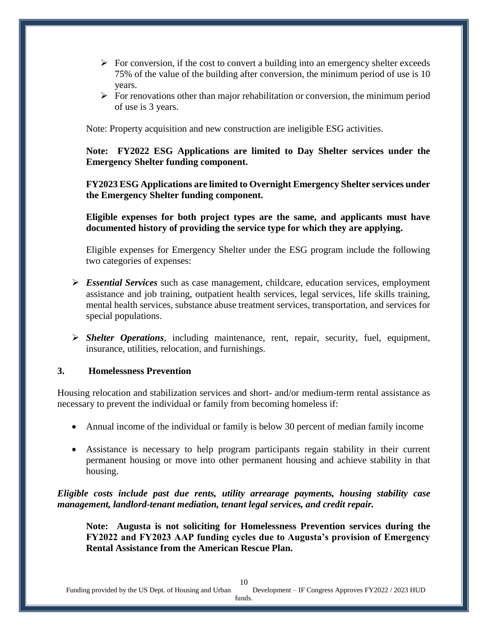- $\triangleright$  For conversion, if the cost to convert a building into an emergency shelter exceeds 75% of the value of the building after conversion, the minimum period of use is 10 years.
- $\triangleright$  For renovations other than major rehabilitation or conversion, the minimum period of use is 3 years.

Note: Property acquisition and new construction are ineligible ESG activities.

**Note: FY2022 ESG Applications are limited to Day Shelter services under the Emergency Shelter funding component.** 

**FY2023 ESG Applications are limited to Overnight Emergency Shelter services under the Emergency Shelter funding component.** 

**Eligible expenses for both project types are the same, and applicants must have documented history of providing the service type for which they are applying.**

Eligible expenses for Emergency Shelter under the ESG program include the following two categories of expenses:

- *Essential Services* such as case management, childcare, education services, employment assistance and job training, outpatient health services, legal services, life skills training, mental health services, substance abuse treatment services, transportation, and services for special populations.
- *Shelter Operations*, including maintenance, rent, repair, security, fuel, equipment, insurance, utilities, relocation, and furnishings.

### **3. Homelessness Prevention**

Housing relocation and stabilization services and short- and/or medium-term rental assistance as necessary to prevent the individual or family from becoming homeless if:

- Annual income of the individual or family is below 30 percent of median family income
- Assistance is necessary to help program participants regain stability in their current permanent housing or move into other permanent housing and achieve stability in that housing.

*Eligible costs include past due rents, utility arrearage payments, housing stability case management, landlord-tenant mediation, tenant legal services, and credit repair.*

**Note: Augusta is not soliciting for Homelessness Prevention services during the FY2022 and FY2023 AAP funding cycles due to Augusta's provision of Emergency Rental Assistance from the American Rescue Plan.**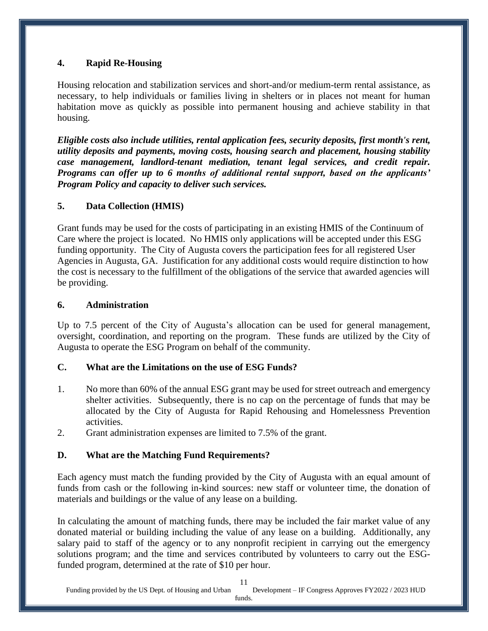### **4. Rapid Re-Housing**

Housing relocation and stabilization services and short-and/or medium-term rental assistance, as necessary, to help individuals or families living in shelters or in places not meant for human habitation move as quickly as possible into permanent housing and achieve stability in that housing.

*Eligible costs also include utilities, rental application fees, security deposits, first month's rent, utility deposits and payments, moving costs, housing search and placement, housing stability case management, landlord-tenant mediation, tenant legal services, and credit repair. Programs can offer up to 6 months of additional rental support, based on the applicants' Program Policy and capacity to deliver such services.* 

### **5. Data Collection (HMIS)**

Grant funds may be used for the costs of participating in an existing HMIS of the Continuum of Care where the project is located. No HMIS only applications will be accepted under this ESG funding opportunity. The City of Augusta covers the participation fees for all registered User Agencies in Augusta, GA. Justification for any additional costs would require distinction to how the cost is necessary to the fulfillment of the obligations of the service that awarded agencies will be providing.

### **6. Administration**

Up to 7.5 percent of the City of Augusta's allocation can be used for general management, oversight, coordination, and reporting on the program. These funds are utilized by the City of Augusta to operate the ESG Program on behalf of the community.

### **C. What are the Limitations on the use of ESG Funds?**

- 1. No more than 60% of the annual ESG grant may be used for street outreach and emergency shelter activities. Subsequently, there is no cap on the percentage of funds that may be allocated by the City of Augusta for Rapid Rehousing and Homelessness Prevention activities.
- 2. Grant administration expenses are limited to 7.5% of the grant.

### **D. What are the Matching Fund Requirements?**

Each agency must match the funding provided by the City of Augusta with an equal amount of funds from cash or the following in-kind sources: new staff or volunteer time, the donation of materials and buildings or the value of any lease on a building.

In calculating the amount of matching funds, there may be included the fair market value of any donated material or building including the value of any lease on a building. Additionally, any salary paid to staff of the agency or to any nonprofit recipient in carrying out the emergency solutions program; and the time and services contributed by volunteers to carry out the ESGfunded program, determined at the rate of \$10 per hour.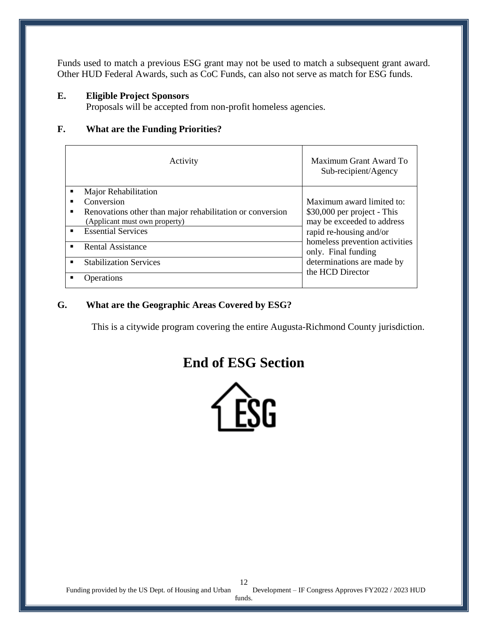Funds used to match a previous ESG grant may not be used to match a subsequent grant award. Other HUD Federal Awards, such as CoC Funds, can also not serve as match for ESG funds.

#### **E. Eligible Project Sponsors**

Proposals will be accepted from non-profit homeless agencies.

### **F. What are the Funding Priorities?**

| Activity                 |                                                           | Maximum Grant Award To<br>Sub-recipient/Agency        |
|--------------------------|-----------------------------------------------------------|-------------------------------------------------------|
| $\blacksquare$           | Major Rehabilitation                                      |                                                       |
| п                        | Conversion                                                | Maximum award limited to:                             |
| п                        | Renovations other than major rehabilitation or conversion | \$30,000 per project - This                           |
|                          | (Applicant must own property)                             | may be exceeded to address                            |
| $\blacksquare$           | <b>Essential Services</b>                                 | rapid re-housing and/or                               |
| <b>Rental Assistance</b> |                                                           | homeless prevention activities<br>only. Final funding |
| п                        | <b>Stabilization Services</b>                             | determinations are made by                            |
|                          | <b>D</b> perations                                        | the HCD Director                                      |

### **G. What are the Geographic Areas Covered by ESG?**

This is a citywide program covering the entire Augusta-Richmond County jurisdiction.

### **End of ESG Section**

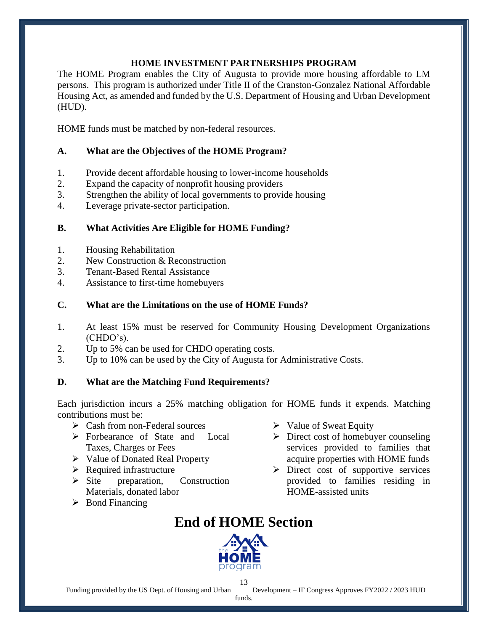### **HOME INVESTMENT PARTNERSHIPS PROGRAM**

The HOME Program enables the City of Augusta to provide more housing affordable to LM persons. This program is authorized under Title II of the Cranston-Gonzalez National Affordable Housing Act, as amended and funded by the U.S. Department of Housing and Urban Development (HUD).

HOME funds must be matched by non-federal resources.

### **A. What are the Objectives of the HOME Program?**

- 1. Provide decent affordable housing to lower-income households
- 2. Expand the capacity of nonprofit housing providers
- 3. Strengthen the ability of local governments to provide housing
- 4. Leverage private-sector participation.

### **B. What Activities Are Eligible for HOME Funding?**

- 1. Housing Rehabilitation
- 2. New Construction & Reconstruction
- 3. Tenant-Based Rental Assistance
- 4. Assistance to first-time homebuyers

### **C. What are the Limitations on the use of HOME Funds?**

- 1. At least 15% must be reserved for Community Housing Development Organizations (CHDO's).
- 2. Up to 5% can be used for CHDO operating costs.
- 3. Up to 10% can be used by the City of Augusta for Administrative Costs.

### **D. What are the Matching Fund Requirements?**

Each jurisdiction incurs a 25% matching obligation for HOME funds it expends. Matching contributions must be:

- Cash from non-Federal sources
- > Forbearance of State and Local Taxes, Charges or Fees
- $\triangleright$  Value of Donated Real Property
- $\triangleright$  Required infrastructure
- $\triangleright$  Site preparation, Construction Materials, donated labor
- Bond Financing
- $\triangleright$  Value of Sweat Equity
- $\triangleright$  Direct cost of homebuyer counseling services provided to families that acquire properties with HOME funds
- $\triangleright$  Direct cost of supportive services provided to families residing in HOME-assisted units

### **End of HOME Section**

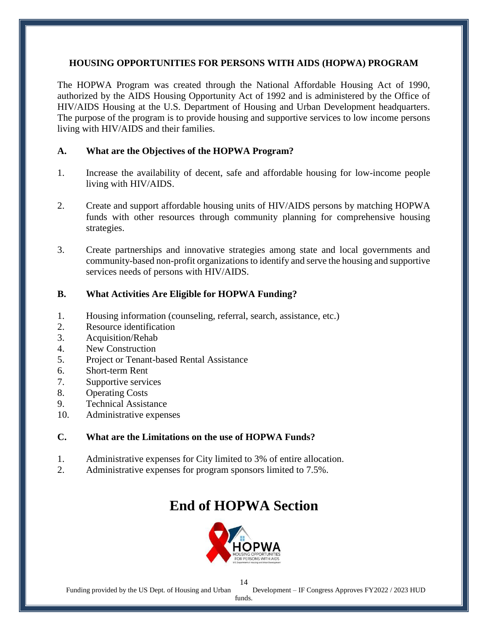### **HOUSING OPPORTUNITIES FOR PERSONS WITH AIDS (HOPWA) PROGRAM**

The HOPWA Program was created through the National Affordable Housing Act of 1990, authorized by the AIDS Housing Opportunity Act of 1992 and is administered by the Office of HIV/AIDS Housing at the U.S. Department of Housing and Urban Development headquarters. The purpose of the program is to provide housing and supportive services to low income persons living with HIV/AIDS and their families.

### **A. What are the Objectives of the HOPWA Program?**

- 1. Increase the availability of decent, safe and affordable housing for low-income people living with HIV/AIDS.
- 2. Create and support affordable housing units of HIV/AIDS persons by matching HOPWA funds with other resources through community planning for comprehensive housing strategies.
- 3. Create partnerships and innovative strategies among state and local governments and community-based non-profit organizations to identify and serve the housing and supportive services needs of persons with HIV/AIDS.

### **B. What Activities Are Eligible for HOPWA Funding?**

- 1. Housing information (counseling, referral, search, assistance, etc.)
- 2. Resource identification
- 3. Acquisition/Rehab
- 4. New Construction
- 5. Project or Tenant-based Rental Assistance
- 6. Short-term Rent
- 7. Supportive services
- 8. Operating Costs
- 9. Technical Assistance
- 10. Administrative expenses

### **C. What are the Limitations on the use of HOPWA Funds?**

- 1. Administrative expenses for City limited to 3% of entire allocation.
- 2. Administrative expenses for program sponsors limited to 7.5%.

### **End of HOPWA Section**

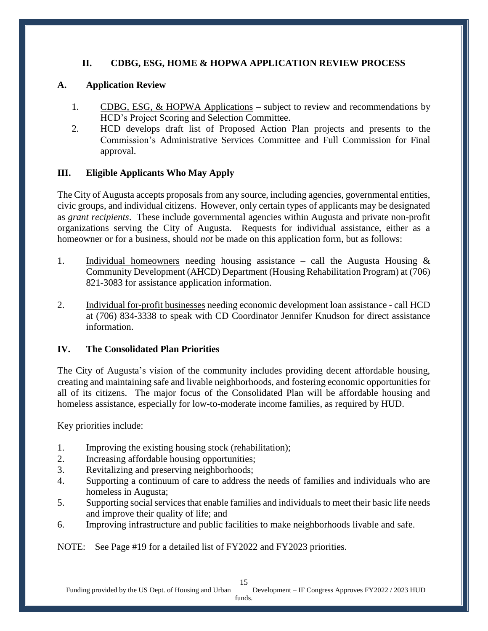### **II. CDBG, ESG, HOME & HOPWA APPLICATION REVIEW PROCESS**

### **A. Application Review**

- 1. CDBG, ESG, & HOPWA Applications subject to review and recommendations by HCD's Project Scoring and Selection Committee.
- 2. HCD develops draft list of Proposed Action Plan projects and presents to the Commission's Administrative Services Committee and Full Commission for Final approval.

### **III. Eligible Applicants Who May Apply**

The City of Augusta accepts proposals from any source, including agencies, governmental entities, civic groups, and individual citizens. However, only certain types of applicants may be designated as *grant recipients*. These include governmental agencies within Augusta and private non-profit organizations serving the City of Augusta. Requests for individual assistance, either as a homeowner or for a business, should *not* be made on this application form, but as follows:

- 1. Individual homeowners needing housing assistance call the Augusta Housing  $\&$ Community Development (AHCD) Department (Housing Rehabilitation Program) at (706) 821-3083 for assistance application information.
- 2. Individual for-profit businesses needing economic development loan assistance call HCD at (706) 834-3338 to speak with CD Coordinator Jennifer Knudson for direct assistance information.

### **IV. The Consolidated Plan Priorities**

The City of Augusta's vision of the community includes providing decent affordable housing, creating and maintaining safe and livable neighborhoods, and fostering economic opportunities for all of its citizens. The major focus of the Consolidated Plan will be affordable housing and homeless assistance, especially for low-to-moderate income families, as required by HUD.

Key priorities include:

- 1. Improving the existing housing stock (rehabilitation);
- 2. Increasing affordable housing opportunities;
- 3. Revitalizing and preserving neighborhoods;
- 4. Supporting a continuum of care to address the needs of families and individuals who are homeless in Augusta;
- 5. Supporting social services that enable families and individuals to meet their basic life needs and improve their quality of life; and
- 6. Improving infrastructure and public facilities to make neighborhoods livable and safe.

NOTE: See Page #19 for a detailed list of FY2022 and FY2023 priorities.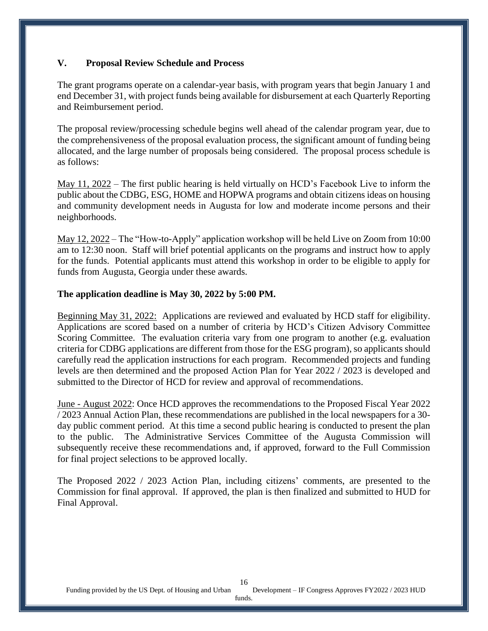### **V. Proposal Review Schedule and Process**

The grant programs operate on a calendar-year basis, with program years that begin January 1 and end December 31, with project funds being available for disbursement at each Quarterly Reporting and Reimbursement period.

The proposal review/processing schedule begins well ahead of the calendar program year, due to the comprehensiveness of the proposal evaluation process, the significant amount of funding being allocated, and the large number of proposals being considered. The proposal process schedule is as follows:

May 11, 2022 – The first public hearing is held virtually on HCD's Facebook Live to inform the public about the CDBG, ESG, HOME and HOPWA programs and obtain citizens ideas on housing and community development needs in Augusta for low and moderate income persons and their neighborhoods.

May 12, 2022 – The "How-to-Apply" application workshop will be held Live on Zoom from 10:00 am to 12:30 noon. Staff will brief potential applicants on the programs and instruct how to apply for the funds. Potential applicants must attend this workshop in order to be eligible to apply for funds from Augusta, Georgia under these awards.

#### **The application deadline is May 30, 2022 by 5:00 PM.**

Beginning May 31, 2022: Applications are reviewed and evaluated by HCD staff for eligibility. Applications are scored based on a number of criteria by HCD's Citizen Advisory Committee Scoring Committee. The evaluation criteria vary from one program to another (e.g. evaluation criteria for CDBG applications are different from those for the ESG program), so applicants should carefully read the application instructions for each program. Recommended projects and funding levels are then determined and the proposed Action Plan for Year 2022 / 2023 is developed and submitted to the Director of HCD for review and approval of recommendations.

June - August 2022: Once HCD approves the recommendations to the Proposed Fiscal Year 2022 / 2023 Annual Action Plan, these recommendations are published in the local newspapers for a 30 day public comment period. At this time a second public hearing is conducted to present the plan to the public. The Administrative Services Committee of the Augusta Commission will subsequently receive these recommendations and, if approved, forward to the Full Commission for final project selections to be approved locally.

The Proposed 2022 / 2023 Action Plan, including citizens' comments, are presented to the Commission for final approval. If approved, the plan is then finalized and submitted to HUD for Final Approval.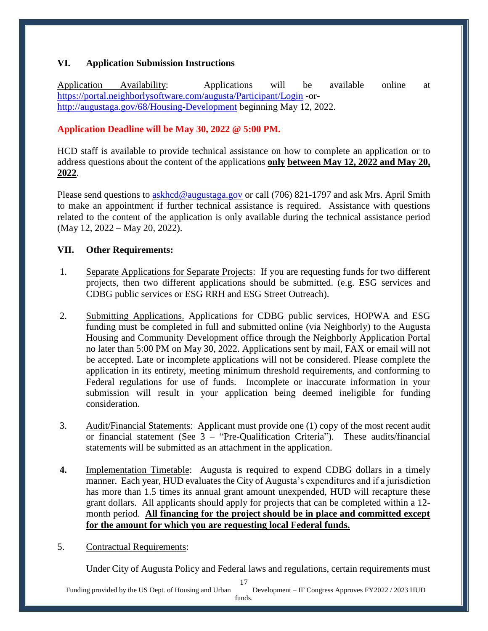### **VI. Application Submission Instructions**

Application Availability: Applications will be available online at <https://portal.neighborlysoftware.com/augusta/Participant/Login> -or<http://augustaga.gov/68/Housing-Development> beginning May 12, 2022.

### **Application Deadline will be May 30, 2022 @ 5:00 PM.**

HCD staff is available to provide technical assistance on how to complete an application or to address questions about the content of the applications **only between May 12, 2022 and May 20, 2022**.

Please send questions to [askhcd@augustaga.gov](mailto:askhcd@augustaga.gov) or call (706) 821-1797 and ask Mrs. April Smith to make an appointment if further technical assistance is required. Assistance with questions related to the content of the application is only available during the technical assistance period (May 12, 2022 – May 20, 2022).

### **VII. Other Requirements:**

- 1. Separate Applications for Separate Projects: If you are requesting funds for two different projects, then two different applications should be submitted. (e.g. ESG services and CDBG public services or ESG RRH and ESG Street Outreach).
- 2. Submitting Applications. Applications for CDBG public services, HOPWA and ESG funding must be completed in full and submitted online (via Neighborly) to the Augusta Housing and Community Development office through the Neighborly Application Portal no later than 5:00 PM on May 30, 2022. Applications sent by mail, FAX or email will not be accepted. Late or incomplete applications will not be considered. Please complete the application in its entirety, meeting minimum threshold requirements, and conforming to Federal regulations for use of funds. Incomplete or inaccurate information in your submission will result in your application being deemed ineligible for funding consideration.
- 3. Audit/Financial Statements: Applicant must provide one (1) copy of the most recent audit or financial statement (See 3 – "Pre-Qualification Criteria"). These audits/financial statements will be submitted as an attachment in the application.
- **4.** Implementation Timetable: Augusta is required to expend CDBG dollars in a timely manner. Each year, HUD evaluates the City of Augusta's expenditures and if a jurisdiction has more than 1.5 times its annual grant amount unexpended, HUD will recapture these grant dollars. All applicants should apply for projects that can be completed within a 12 month period. **All financing for the project should be in place and committed except for the amount for which you are requesting local Federal funds.**
- 5. Contractual Requirements:

Under City of Augusta Policy and Federal laws and regulations, certain requirements must

17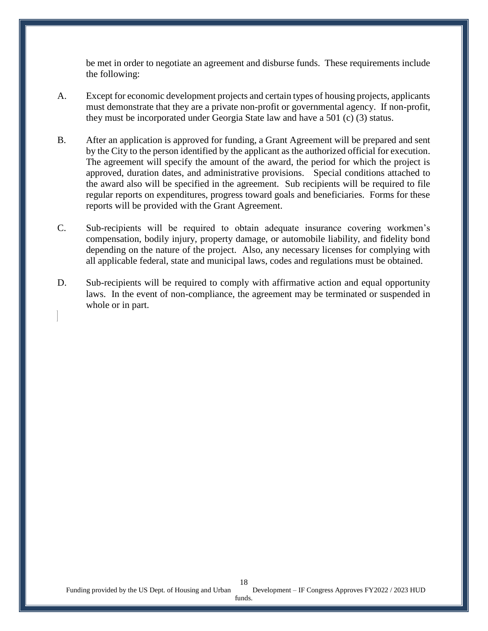be met in order to negotiate an agreement and disburse funds. These requirements include the following:

- A. Except for economic development projects and certain types of housing projects, applicants must demonstrate that they are a private non-profit or governmental agency. If non-profit, they must be incorporated under Georgia State law and have a 501 (c) (3) status.
- B. After an application is approved for funding, a Grant Agreement will be prepared and sent by the City to the person identified by the applicant as the authorized official for execution. The agreement will specify the amount of the award, the period for which the project is approved, duration dates, and administrative provisions. Special conditions attached to the award also will be specified in the agreement. Sub recipients will be required to file regular reports on expenditures, progress toward goals and beneficiaries. Forms for these reports will be provided with the Grant Agreement.
- C. Sub-recipients will be required to obtain adequate insurance covering workmen's compensation, bodily injury, property damage, or automobile liability, and fidelity bond depending on the nature of the project. Also, any necessary licenses for complying with all applicable federal, state and municipal laws, codes and regulations must be obtained.
- D. Sub-recipients will be required to comply with affirmative action and equal opportunity laws. In the event of non-compliance, the agreement may be terminated or suspended in whole or in part.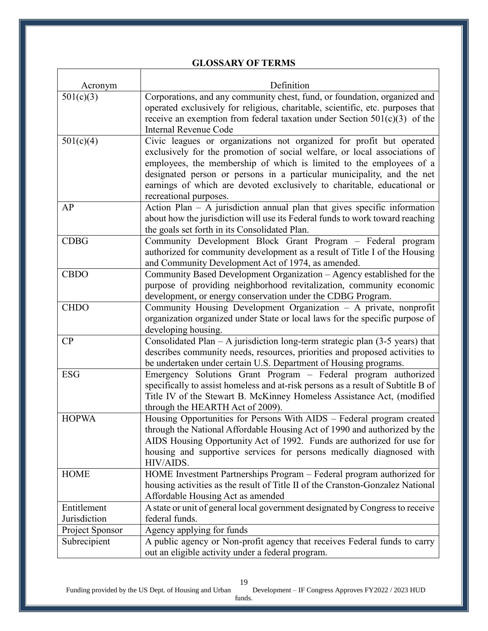### **GLOSSARY OF TERMS**

Τ

| Acronym                         | Definition                                                                                                                                                                                                                                                                                                                                                                                              |
|---------------------------------|---------------------------------------------------------------------------------------------------------------------------------------------------------------------------------------------------------------------------------------------------------------------------------------------------------------------------------------------------------------------------------------------------------|
| 501(c)(3)                       | Corporations, and any community chest, fund, or foundation, organized and<br>operated exclusively for religious, charitable, scientific, etc. purposes that<br>receive an exemption from federal taxation under Section $501(c)(3)$ of the<br><b>Internal Revenue Code</b>                                                                                                                              |
| 501(c)(4)                       | Civic leagues or organizations not organized for profit but operated<br>exclusively for the promotion of social welfare, or local associations of<br>employees, the membership of which is limited to the employees of a<br>designated person or persons in a particular municipality, and the net<br>earnings of which are devoted exclusively to charitable, educational or<br>recreational purposes. |
| AP                              | Action Plan $-$ A jurisdiction annual plan that gives specific information<br>about how the jurisdiction will use its Federal funds to work toward reaching<br>the goals set forth in its Consolidated Plan.                                                                                                                                                                                            |
| <b>CDBG</b>                     | Community Development Block Grant Program - Federal program<br>authorized for community development as a result of Title I of the Housing<br>and Community Development Act of 1974, as amended.                                                                                                                                                                                                         |
| <b>CBDO</b>                     | Community Based Development Organization – Agency established for the<br>purpose of providing neighborhood revitalization, community economic<br>development, or energy conservation under the CDBG Program.                                                                                                                                                                                            |
| <b>CHDO</b>                     | Community Housing Development Organization - A private, nonprofit<br>organization organized under State or local laws for the specific purpose of<br>developing housing.                                                                                                                                                                                                                                |
| CP                              | Consolidated Plan $-$ A jurisdiction long-term strategic plan (3-5 years) that<br>describes community needs, resources, priorities and proposed activities to<br>be undertaken under certain U.S. Department of Housing programs.                                                                                                                                                                       |
| <b>ESG</b>                      | Emergency Solutions Grant Program - Federal program authorized<br>specifically to assist homeless and at-risk persons as a result of Subtitle B of<br>Title IV of the Stewart B. McKinney Homeless Assistance Act, (modified<br>through the HEARTH Act of 2009).                                                                                                                                        |
| <b>HOPWA</b>                    | Housing Opportunities for Persons With AIDS - Federal program created<br>through the National Affordable Housing Act of 1990 and authorized by the<br>AIDS Housing Opportunity Act of 1992. Funds are authorized for use for<br>housing and supportive services for persons medically diagnosed with<br>HIV/AIDS.                                                                                       |
| <b>HOME</b>                     | HOME Investment Partnerships Program - Federal program authorized for<br>housing activities as the result of Title II of the Cranston-Gonzalez National<br>Affordable Housing Act as amended                                                                                                                                                                                                            |
| Entitlement                     | A state or unit of general local government designated by Congress to receive                                                                                                                                                                                                                                                                                                                           |
| Jurisdiction<br>Project Sponsor | federal funds.<br>Agency applying for funds                                                                                                                                                                                                                                                                                                                                                             |
| Subrecipient                    | A public agency or Non-profit agency that receives Federal funds to carry                                                                                                                                                                                                                                                                                                                               |
|                                 | out an eligible activity under a federal program.                                                                                                                                                                                                                                                                                                                                                       |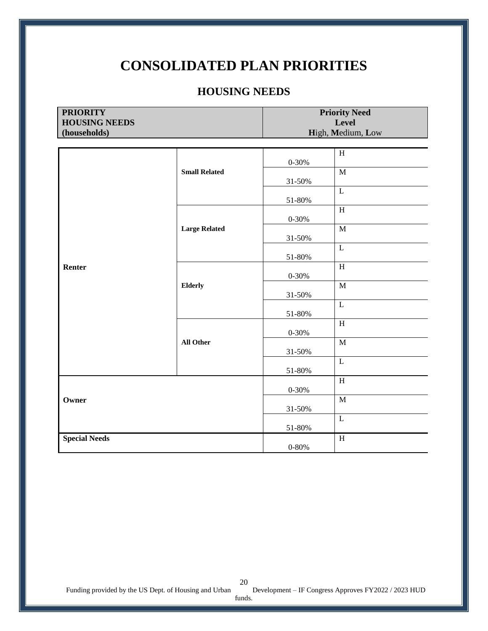### **CONSOLIDATED PLAN PRIORITIES**

### **HOUSING NEEDS**

| <b>PRIORITY</b>      |                      |                           | <b>Priority Need</b> |  |
|----------------------|----------------------|---------------------------|----------------------|--|
| <b>HOUSING NEEDS</b> |                      | Level                     |                      |  |
| (households)         |                      | High, Medium, Low         |                      |  |
|                      |                      | $\mathbf H$               |                      |  |
|                      | <b>Small Related</b> | $0 - 30%$                 |                      |  |
|                      |                      | $\overline{M}$            |                      |  |
|                      |                      | 31-50%                    |                      |  |
|                      |                      | $\mathbf L$<br>51-80%     |                      |  |
|                      |                      | $\overline{\mathbf{H}}$   |                      |  |
|                      |                      | $0 - 30%$                 |                      |  |
|                      | <b>Large Related</b> | $\mathbf M$               |                      |  |
|                      |                      | 31-50%                    |                      |  |
|                      |                      | $\mathbf L$<br>51-80%     |                      |  |
| Renter               | <b>Elderly</b>       | $\overline{H}$            |                      |  |
|                      |                      | $0 - 30%$                 |                      |  |
|                      |                      | $\overline{M}$            |                      |  |
|                      |                      | 31-50%<br>$\mathbf{L}$    |                      |  |
|                      |                      | 51-80%                    |                      |  |
|                      | <b>All Other</b>     | $\, {\rm H}$              |                      |  |
|                      |                      | $0 - 30%$                 |                      |  |
|                      |                      | $\overline{M}$            |                      |  |
|                      |                      | $31 - 50%$<br>$\mathbf L$ |                      |  |
|                      |                      | 51-80%                    |                      |  |
|                      |                      | $\mathbf H$               |                      |  |
| Owner                |                      | $0 - 30%$                 |                      |  |
|                      |                      | $\overline{M}$            |                      |  |
|                      |                      | 31-50%<br>$\mathbf L$     |                      |  |
|                      |                      | 51-80%                    |                      |  |
| <b>Special Needs</b> |                      | $\mathbf H$               |                      |  |
|                      |                      | $0 - 80%$                 |                      |  |

funds.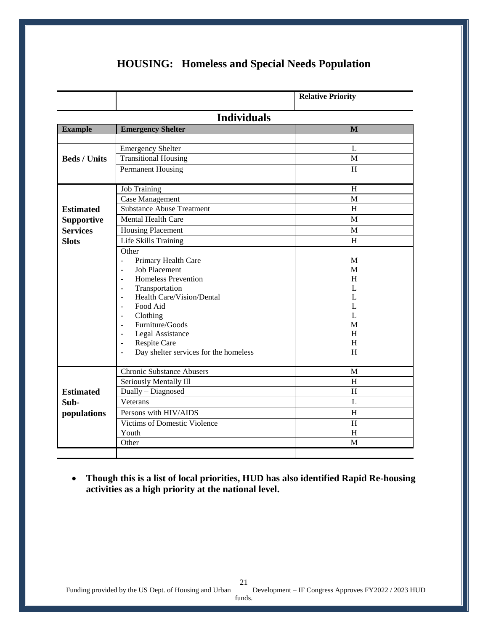|                     |                                                         | <b>Relative Priority</b> |  |
|---------------------|---------------------------------------------------------|--------------------------|--|
| <b>Individuals</b>  |                                                         |                          |  |
| <b>Example</b>      | <b>Emergency Shelter</b>                                | $\mathbf{M}$             |  |
|                     |                                                         |                          |  |
|                     | <b>Emergency Shelter</b>                                | L                        |  |
| <b>Beds / Units</b> | <b>Transitional Housing</b>                             | M                        |  |
|                     | <b>Permanent Housing</b>                                | H                        |  |
|                     |                                                         |                          |  |
|                     | <b>Job Training</b>                                     | H                        |  |
|                     | <b>Case Management</b>                                  | M                        |  |
| <b>Estimated</b>    | <b>Substance Abuse Treatment</b>                        | H                        |  |
| <b>Supportive</b>   | Mental Health Care                                      | M                        |  |
| <b>Services</b>     | <b>Housing Placement</b>                                | M                        |  |
| <b>Slots</b>        | Life Skills Training                                    | H                        |  |
|                     | Other                                                   |                          |  |
|                     | Primary Health Care<br>$\overline{a}$                   | M                        |  |
|                     | <b>Job Placement</b><br>$\sim$                          | M                        |  |
|                     | <b>Homeless Prevention</b><br>$\overline{\phantom{a}}$  | H                        |  |
|                     | Transportation<br>$\overline{\phantom{a}}$              | L                        |  |
|                     | Health Care/Vision/Dental<br>$\blacksquare$             | L                        |  |
|                     | Food Aid<br>$\omega$<br>Clothing                        | L<br>L                   |  |
|                     | $\overline{\phantom{a}}$<br>Furniture/Goods<br>$\sim$   | M                        |  |
|                     | Legal Assistance<br>$\overline{\phantom{a}}$            | H                        |  |
|                     | Respite Care<br>$\overline{\phantom{a}}$                | H                        |  |
|                     | Day shelter services for the homeless<br>$\overline{a}$ | H                        |  |
|                     |                                                         |                          |  |
|                     | <b>Chronic Substance Abusers</b>                        | M                        |  |
|                     | Seriously Mentally Ill                                  | H                        |  |
| <b>Estimated</b>    | Dually - Diagnosed                                      | H                        |  |
| Sub-                | Veterans                                                | L                        |  |
| populations         | Persons with HIV/AIDS                                   | H                        |  |
|                     | Victims of Domestic Violence                            | H                        |  |
|                     | Youth                                                   | $H_{\rm}$                |  |
|                     | Other                                                   | M                        |  |
|                     |                                                         |                          |  |

### **HOUSING: Homeless and Special Needs Population**

 **Though this is a list of local priorities, HUD has also identified Rapid Re-housing activities as a high priority at the national level.**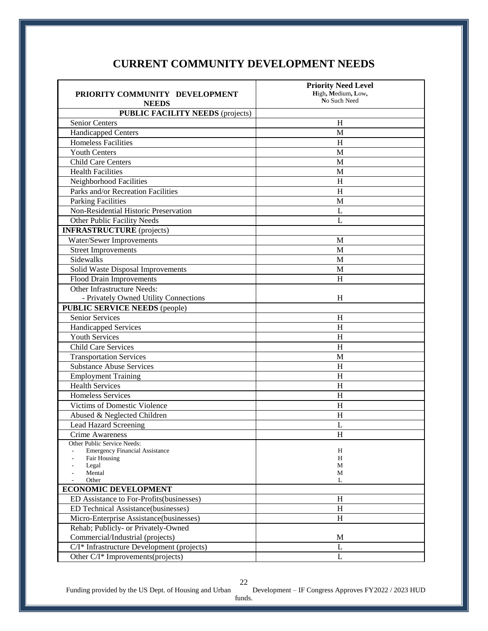### **CURRENT COMMUNITY DEVELOPMENT NEEDS**

|                                            | <b>Priority Need Level</b> |
|--------------------------------------------|----------------------------|
| PRIORITY COMMUNITY DEVELOPMENT             | High, Medium, Low,         |
| <b>NEEDS</b>                               | No Such Need               |
| <b>PUBLIC FACILITY NEEDS (projects)</b>    |                            |
| <b>Senior Centers</b>                      | H                          |
| <b>Handicapped Centers</b>                 | M                          |
| <b>Homeless Facilities</b>                 | H                          |
| <b>Youth Centers</b>                       | M                          |
| Child Care Centers                         | M                          |
| <b>Health Facilities</b>                   | М                          |
| Neighborhood Facilities                    | H                          |
| Parks and/or Recreation Facilities         | H                          |
| Parking Facilities                         | M                          |
| Non-Residential Historic Preservation      | L                          |
| Other Public Facility Needs                | L                          |
| <b>INFRASTRUCTURE</b> (projects)           |                            |
| Water/Sewer Improvements                   | M                          |
| <b>Street Improvements</b>                 | M                          |
| Sidewalks                                  | M                          |
| Solid Waste Disposal Improvements          | M                          |
| <b>Flood Drain Improvements</b>            | H                          |
| Other Infrastructure Needs:                |                            |
| - Privately Owned Utility Connections      | H                          |
| <b>PUBLIC SERVICE NEEDS (people)</b>       |                            |
| <b>Senior Services</b>                     | H                          |
| Handicapped Services                       | H                          |
| <b>Youth Services</b>                      | H                          |
| <b>Child Care Services</b>                 | H                          |
| <b>Transportation Services</b>             | M                          |
| <b>Substance Abuse Services</b>            | H                          |
| <b>Employment Training</b>                 | H                          |
| <b>Health Services</b>                     | H                          |
| <b>Homeless Services</b>                   | H                          |
| Victims of Domestic Violence               | $\boldsymbol{\mathrm{H}}$  |
| Abused & Neglected Children                | H                          |
| <b>Lead Hazard Screening</b>               | L                          |
| Crime Awareness                            | H                          |
| Other Public Service Needs:                |                            |
| <b>Emergency Financial Assistance</b>      | H                          |
| Fair Housing<br>Legal                      | H<br>М                     |
| Mental                                     | М                          |
| Other                                      | L                          |
| <b>ECONOMIC DEVELOPMENT</b>                |                            |
| ED Assistance to For-Profits(businesses)   | H                          |
| ED Technical Assistance(businesses)        | H                          |
| Micro-Enterprise Assistance(businesses)    | H                          |
| Rehab; Publicly- or Privately-Owned        |                            |
| Commercial/Industrial (projects)           | M                          |
| C/I* Infrastructure Development (projects) | L                          |
| Other C/I* Improvements(projects)          | L                          |